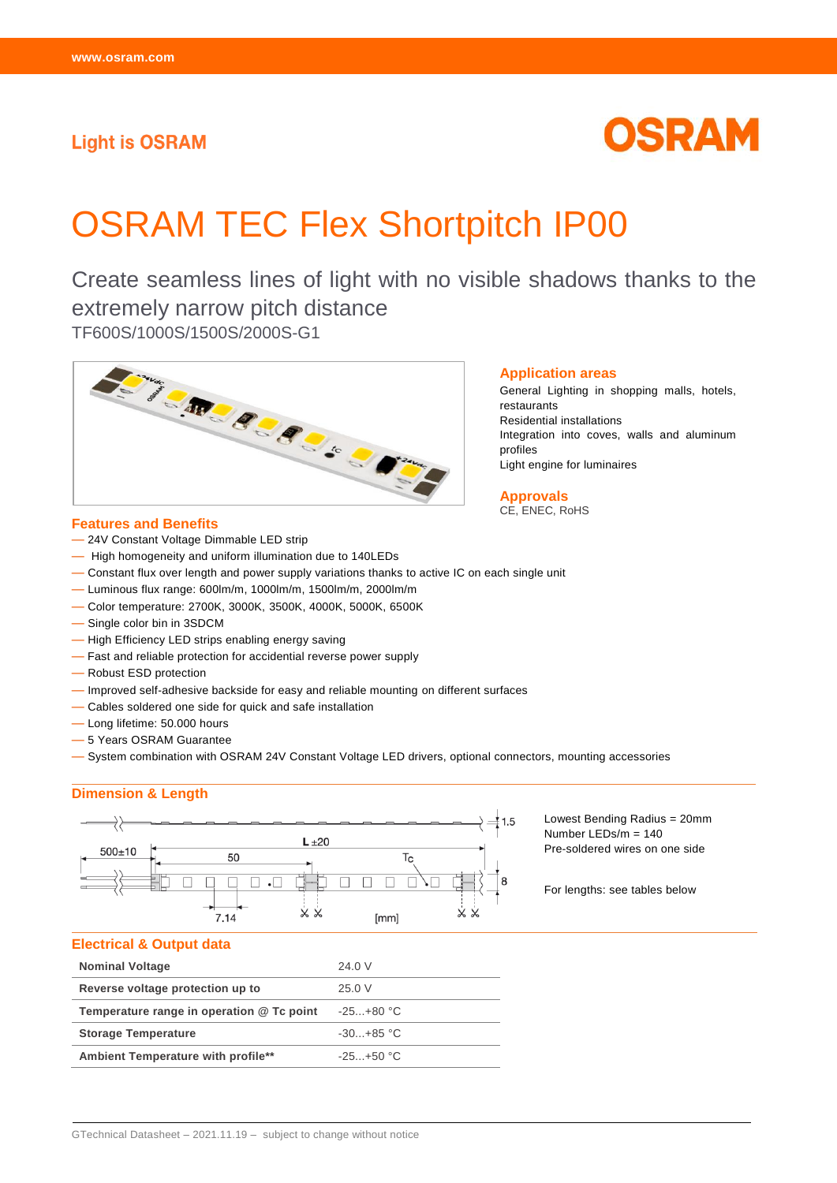# **Light is OSRAM**

# OSRAM

# OSRAM TEC Flex Shortpitch IP00

Create seamless lines of light with no visible shadows thanks to the extremely narrow pitch distance TF600S/1000S/1500S/2000S-G1



#### **Features and Benefits**

- 24V Constant Voltage Dimmable LED strip
- High homogeneity and uniform illumination due to 140LEDs
- Constant flux over length and power supply variations thanks to active IC on each single unit
- Luminous flux range: 600lm/m, 1000lm/m, 1500lm/m, 2000lm/m
- Color temperature: 2700K, 3000K, 3500K, 4000K, 5000K, 6500K
- Single color bin in 3SDCM
- High Efficiency LED strips enabling energy saving
- Fast and reliable protection for accidential reverse power supply
- Robust ESD protection
- Improved self-adhesive backside for easy and reliable mounting on different surfaces
- Cables soldered one side for quick and safe installation
- Long lifetime: 50.000 hours
- 5 Years OSRAM Guarantee
- System combination with OSRAM 24V Constant Voltage LED drivers, optional connectors, mounting accessories

### **Dimension & Length**



Lowest Bending Radius = 20mm Number LEDs/m = 140 Pre-soldered wires on one side

For lengths: see tables below

#### **Electrical & Output data**

| <b>Nominal Voltage</b>                    | 24.0 V         |
|-------------------------------------------|----------------|
| Reverse voltage protection up to          | 25.0 V         |
| Temperature range in operation @ Tc point | $-25+80$ °C    |
| <b>Storage Temperature</b>                | $-30. +85$ °C  |
| Ambient Temperature with profile**        | $-25. + 50$ °C |
|                                           |                |

#### **Application areas**

General Lighting in shopping malls, hotels, restaurants Residential installations Integration into coves, walls and aluminum profiles Light engine for luminaires

**Approvals** CE, ENEC, RoHS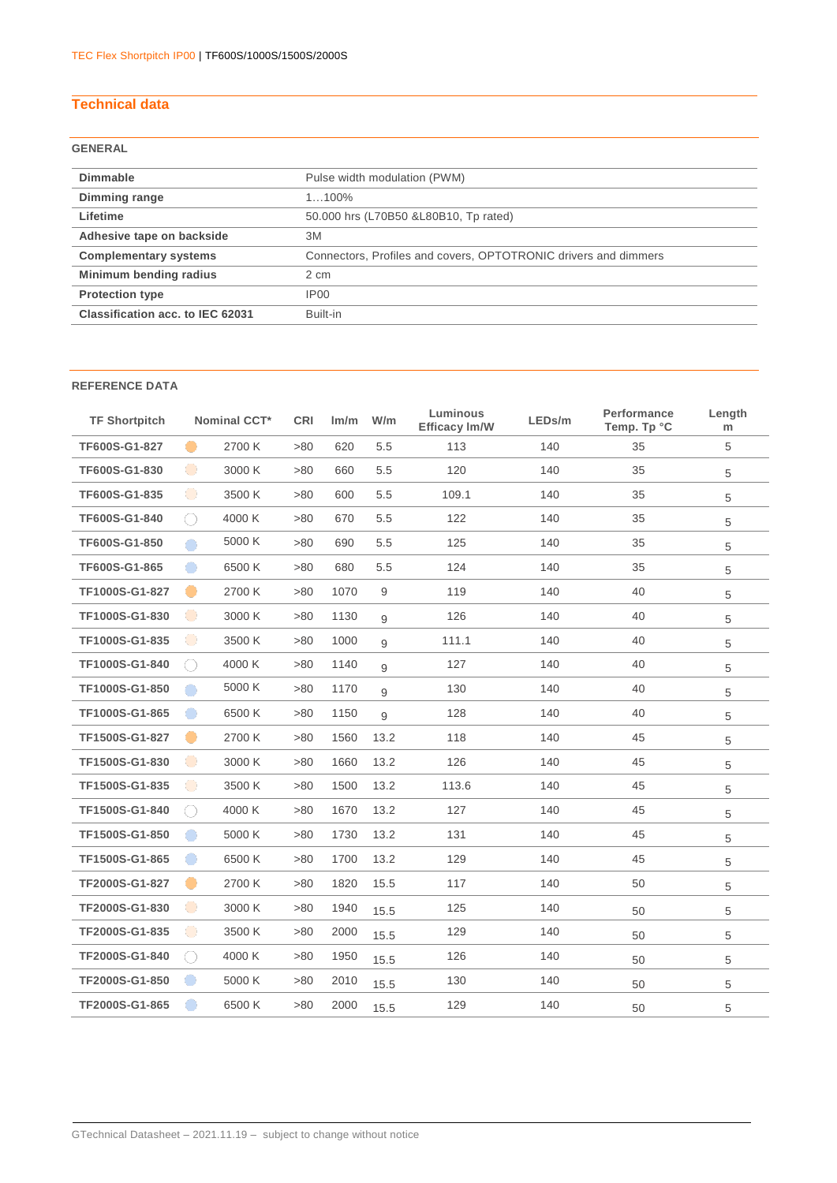# **Technical data**

# **GENERAL**

| <b>Dimmable</b>                  | Pulse width modulation (PWM)                                    |
|----------------------------------|-----------------------------------------------------------------|
| Dimming range                    | $1100\%$                                                        |
| Lifetime                         | 50.000 hrs (L70B50 & L80B10, Tp rated)                          |
| Adhesive tape on backside        | 3M                                                              |
| <b>Complementary systems</b>     | Connectors, Profiles and covers, OPTOTRONIC drivers and dimmers |
| Minimum bending radius           | 2 cm                                                            |
| <b>Protection type</b>           | IP <sub>00</sub>                                                |
| Classification acc. to IEC 62031 | Built-in                                                        |
|                                  |                                                                 |

### **REFERENCE DATA**

| <b>TF Shortpitch</b> |           | <b>Nominal CCT*</b> | <b>CRI</b> | Im/m | W/m  | Luminous<br>Efficacy Im/W | LEDs/m | Performance<br>Temp. Tp °C | Length<br>m |
|----------------------|-----------|---------------------|------------|------|------|---------------------------|--------|----------------------------|-------------|
| TF600S-G1-827        | $\bullet$ | 2700 K              | >80        | 620  | 5.5  | 113                       | 140    | 35                         | 5           |
| TF600S-G1-830        | $\bullet$ | 3000 K              | >80        | 660  | 5.5  | 120                       | 140    | 35                         | 5           |
| TF600S-G1-835        | $\bullet$ | 3500 K              | >80        | 600  | 5.5  | 109.1                     | 140    | 35                         | 5           |
| TF600S-G1-840        | ⊖         | 4000 K              | >80        | 670  | 5.5  | 122                       | 140    | 35                         | 5           |
| TF600S-G1-850        | $\bullet$ | 5000 K              | >80        | 690  | 5.5  | 125                       | 140    | 35                         | 5           |
| TF600S-G1-865        | $\bullet$ | 6500K               | >80        | 680  | 5.5  | 124                       | 140    | 35                         | 5           |
| TF1000S-G1-827       |           | 2700 K              | >80        | 1070 | 9    | 119                       | 140    | 40                         | 5           |
| TF1000S-G1-830       | $\bullet$ | 3000 K              | >80        | 1130 | 9    | 126                       | 140    | 40                         | 5           |
| TF1000S-G1-835       | $\bullet$ | 3500 K              | >80        | 1000 | 9    | 111.1                     | 140    | 40                         | 5           |
| TF1000S-G1-840       | 0         | 4000 K              | >80        | 1140 | 9    | 127                       | 140    | 40                         | 5           |
| TF1000S-G1-850       | $\bullet$ | 5000 K              | >80        | 1170 | 9    | 130                       | 140    | 40                         | 5           |
| TF1000S-G1-865       | $\bullet$ | 6500K               | >80        | 1150 | 9    | 128                       | 140    | 40                         | 5           |
| TF1500S-G1-827       |           | 2700 K              | >80        | 1560 | 13.2 | 118                       | 140    | 45                         | 5           |
| TF1500S-G1-830       | $\bullet$ | 3000 K              | >80        | 1660 | 13.2 | 126                       | 140    | 45                         | 5           |
| TF1500S-G1-835       | $\bullet$ | 3500 K              | >80        | 1500 | 13.2 | 113.6                     | 140    | 45                         | 5           |
| TF1500S-G1-840       | ○         | 4000 K              | >80        | 1670 | 13.2 | 127                       | 140    | 45                         | 5           |
| TF1500S-G1-850       | $\bullet$ | 5000 K              | >80        | 1730 | 13.2 | 131                       | 140    | 45                         | 5           |
| TF1500S-G1-865       | $\bullet$ | 6500K               | >80        | 1700 | 13.2 | 129                       | 140    | 45                         | 5           |
| TF2000S-G1-827       |           | 2700 K              | >80        | 1820 | 15.5 | 117                       | 140    | 50                         | 5           |
| TF2000S-G1-830       | $\bullet$ | 3000 K              | >80        | 1940 | 15.5 | 125                       | 140    | 50                         | 5           |
| TF2000S-G1-835       | $\bullet$ | 3500 K              | >80        | 2000 | 15.5 | 129                       | 140    | 50                         | 5           |
| TF2000S-G1-840       | 0         | 4000 K              | >80        | 1950 | 15.5 | 126                       | 140    | 50                         | 5           |
| TF2000S-G1-850       | $\bullet$ | 5000 K              | >80        | 2010 | 15.5 | 130                       | 140    | 50                         | 5           |
| TF2000S-G1-865       | œ         | 6500 K              | >80        | 2000 | 15.5 | 129                       | 140    | 50                         | 5           |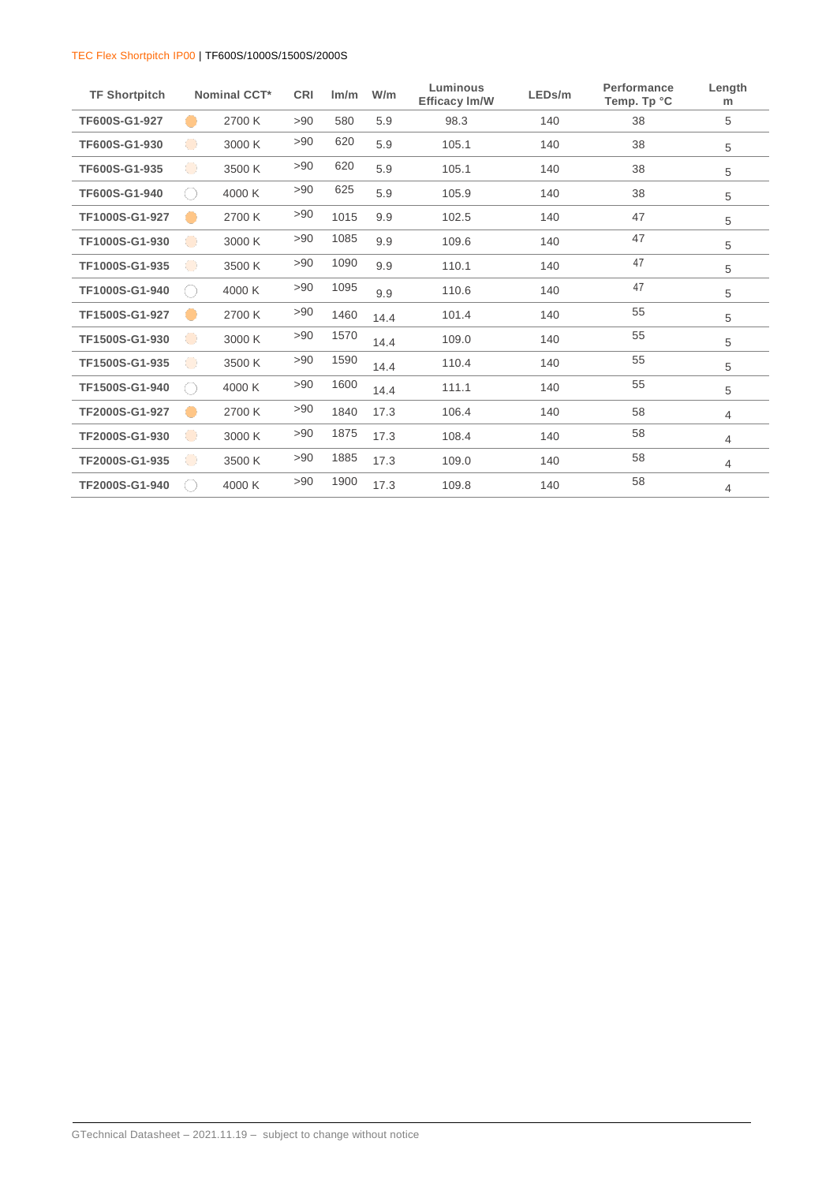| <b>TF Shortpitch</b> |                                             | <b>Nominal CCT*</b> | <b>CRI</b> | Im/m | W/m  | Luminous<br><b>Efficacy Im/W</b> | LEDs/m | Performance<br>Temp. Tp °C | Length<br>m |
|----------------------|---------------------------------------------|---------------------|------------|------|------|----------------------------------|--------|----------------------------|-------------|
| TF600S-G1-927        |                                             | 2700 K              | >90        | 580  | 5.9  | 98.3                             | 140    | 38                         | 5           |
| TF600S-G1-930        | $\bullet$                                   | 3000 K              | >90        | 620  | 5.9  | 105.1                            | 140    | 38                         | 5           |
| TF600S-G1-935        | $\bullet$                                   | 3500 K              | >90        | 620  | 5.9  | 105.1                            | 140    | 38                         | 5           |
| TF600S-G1-940        | $\left(\begin{array}{c} \end{array}\right)$ | 4000 K              | >90        | 625  | 5.9  | 105.9                            | 140    | 38                         | 5           |
| TF1000S-G1-927       | -                                           | 2700 K              | >90        | 1015 | 9.9  | 102.5                            | 140    | 47                         | 5           |
| TF1000S-G1-930       | $\bullet$                                   | 3000 K              | >90        | 1085 | 9.9  | 109.6                            | 140    | 47                         | 5           |
| TF1000S-G1-935       | $\bullet$                                   | 3500 K              | >90        | 1090 | 9.9  | 110.1                            | 140    | 47                         | 5           |
| TF1000S-G1-940       | $(\ )$                                      | 4000 K              | >90        | 1095 | 9.9  | 110.6                            | 140    | 47                         | 5           |
| TF1500S-G1-927       |                                             | 2700 K              | >90        | 1460 | 14.4 | 101.4                            | 140    | 55                         | 5           |
| TF1500S-G1-930       | $\bullet$                                   | 3000 K              | >90        | 1570 | 14.4 | 109.0                            | 140    | 55                         | 5           |
| TF1500S-G1-935       | $\bullet$                                   | 3500 K              | >90        | 1590 | 14.4 | 110.4                            | 140    | 55                         | 5           |
| TF1500S-G1-940       | ( )                                         | 4000 K              | >90        | 1600 | 14.4 | 111.1                            | 140    | 55                         | 5           |
| TF2000S-G1-927       |                                             | 2700 K              | >90        | 1840 | 17.3 | 106.4                            | 140    | 58                         | 4           |
| TF2000S-G1-930       | $\bullet$                                   | 3000 K              | >90        | 1875 | 17.3 | 108.4                            | 140    | 58                         | 4           |
| TF2000S-G1-935       | $\bullet$                                   | 3500 K              | >90        | 1885 | 17.3 | 109.0                            | 140    | 58                         | 4           |
| TF2000S-G1-940       |                                             | 4000 K              | >90        | 1900 | 17.3 | 109.8                            | 140    | 58                         | 4           |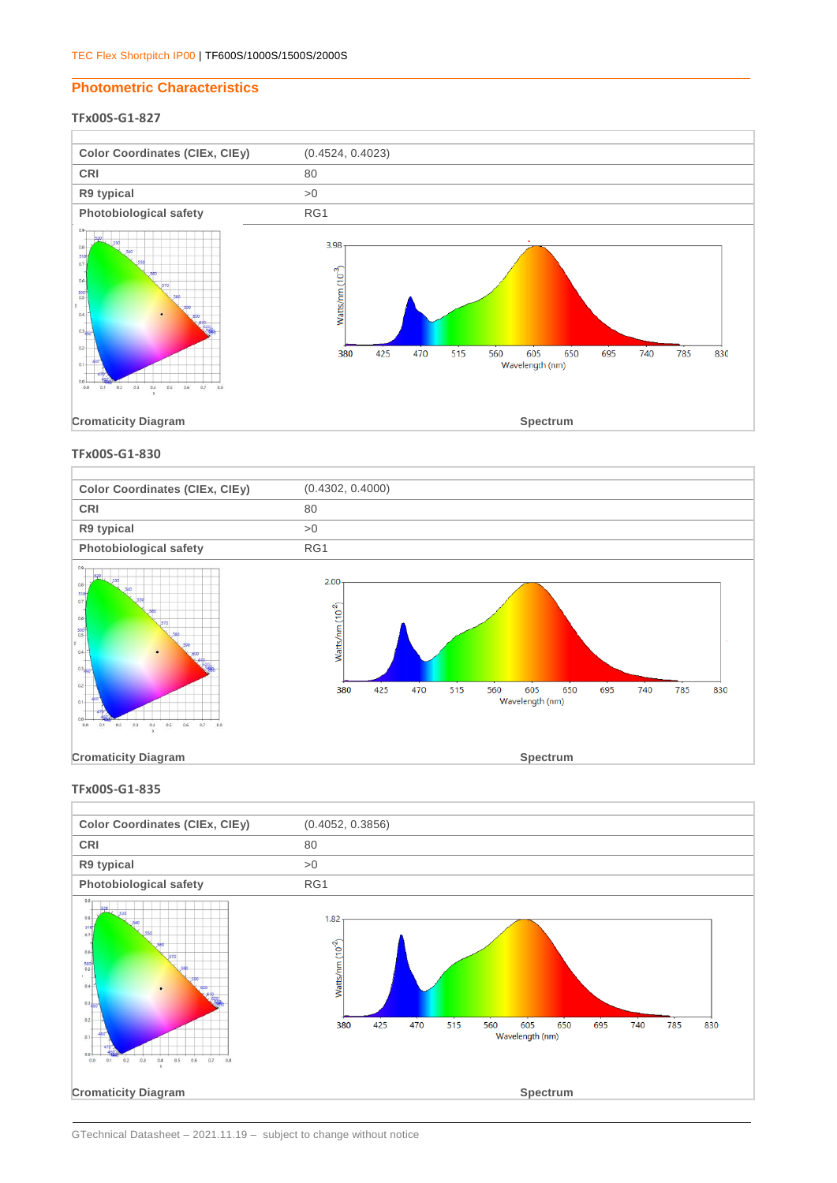## **Photometric Characteristics**

# **TFx00S-G1-827**



**TFx00S-G1-830**



**TFx00S-G1-835**



GTechnical Datasheet – 2021.11.19 – subject to change without notice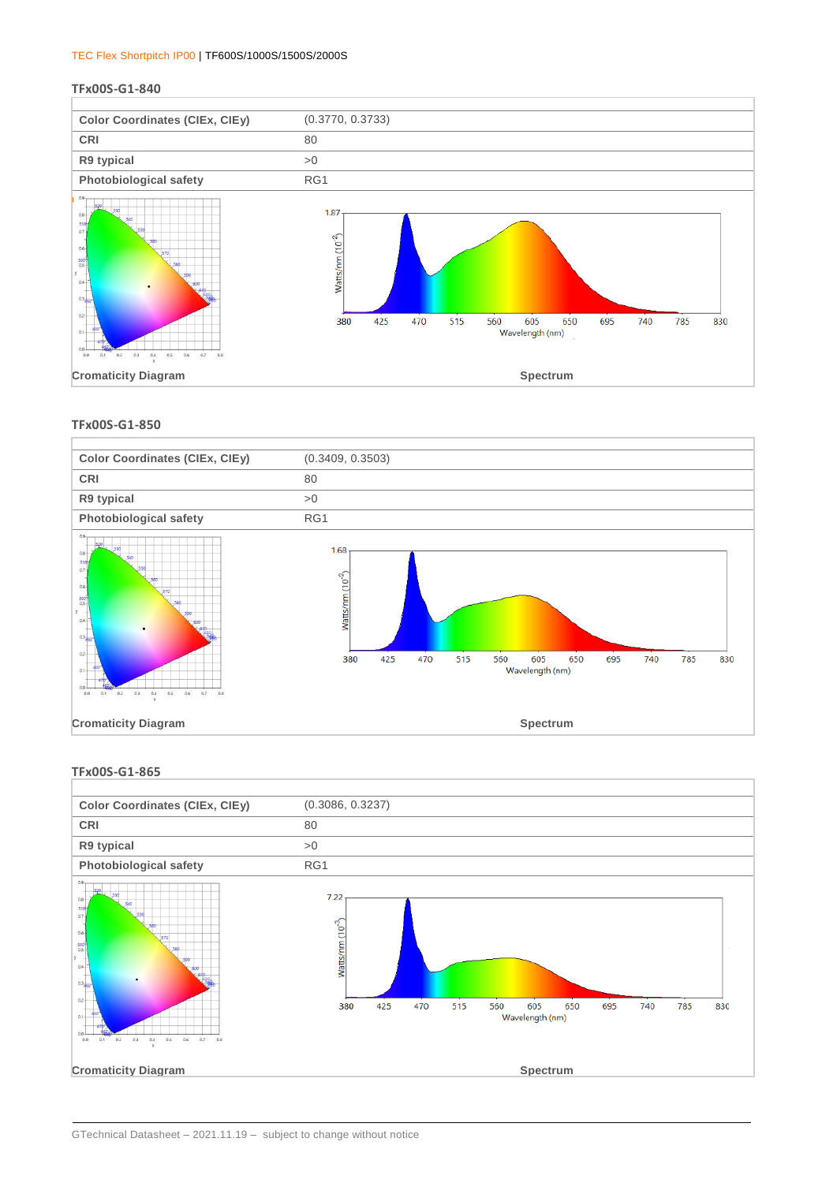#### **TFx00S-G1-840**



#### **TFx00S-G1-850**



#### **TFx00S-G1-865**

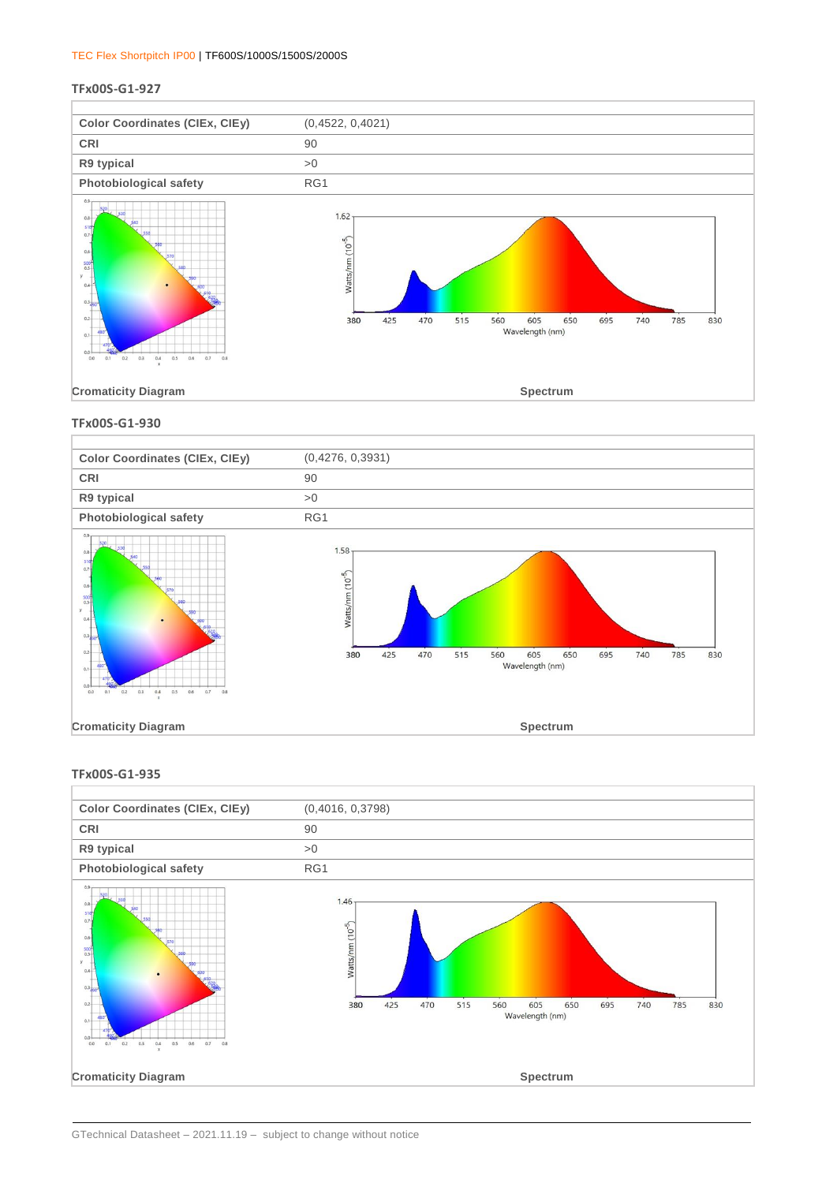#### **TFx00S-G1-927**



### **TFx00S-G1-930**



#### **TFx00S-G1-935**

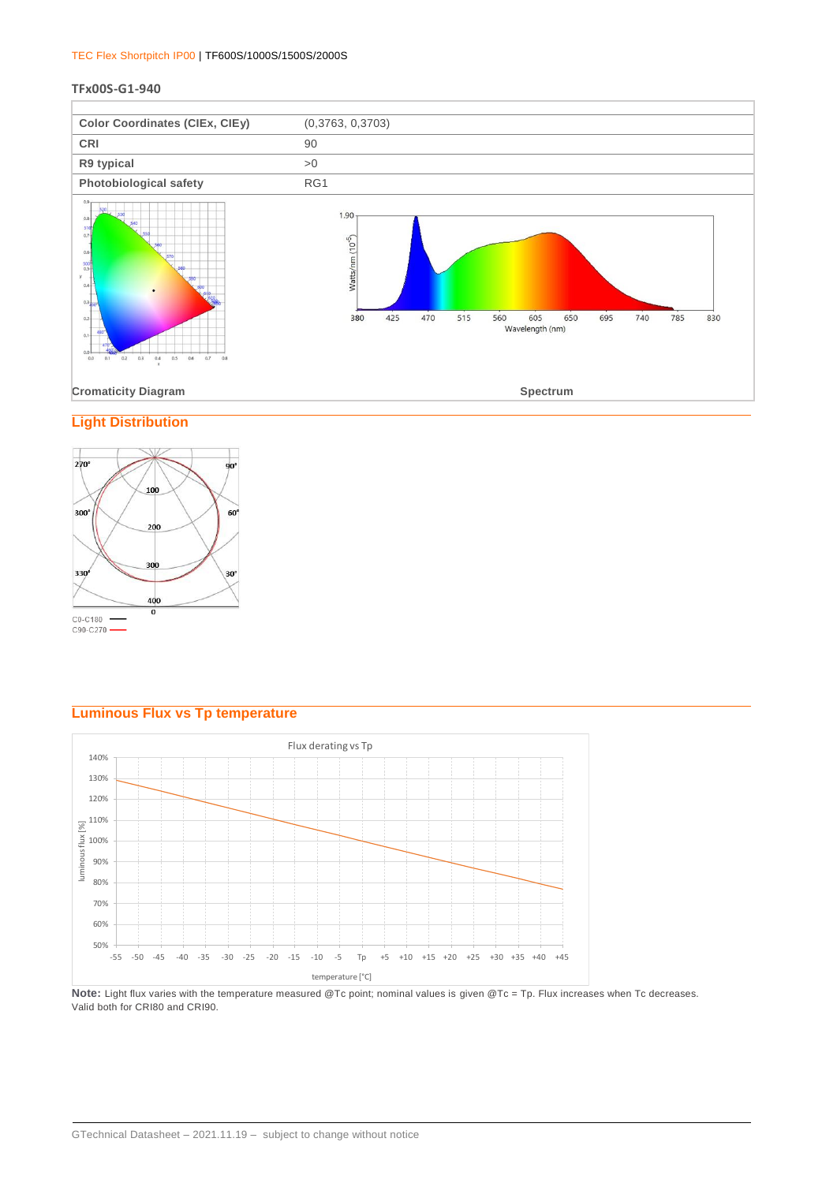#### **TFx00S-G1-940**



# **Light Distribution**



# **Luminous Flux vs Tp temperature**



Note: Light flux varies with the temperature measured @Tc point; nominal values is given @Tc = Tp. Flux increases when Tc decreases. Valid both for CRI80 and CRI90.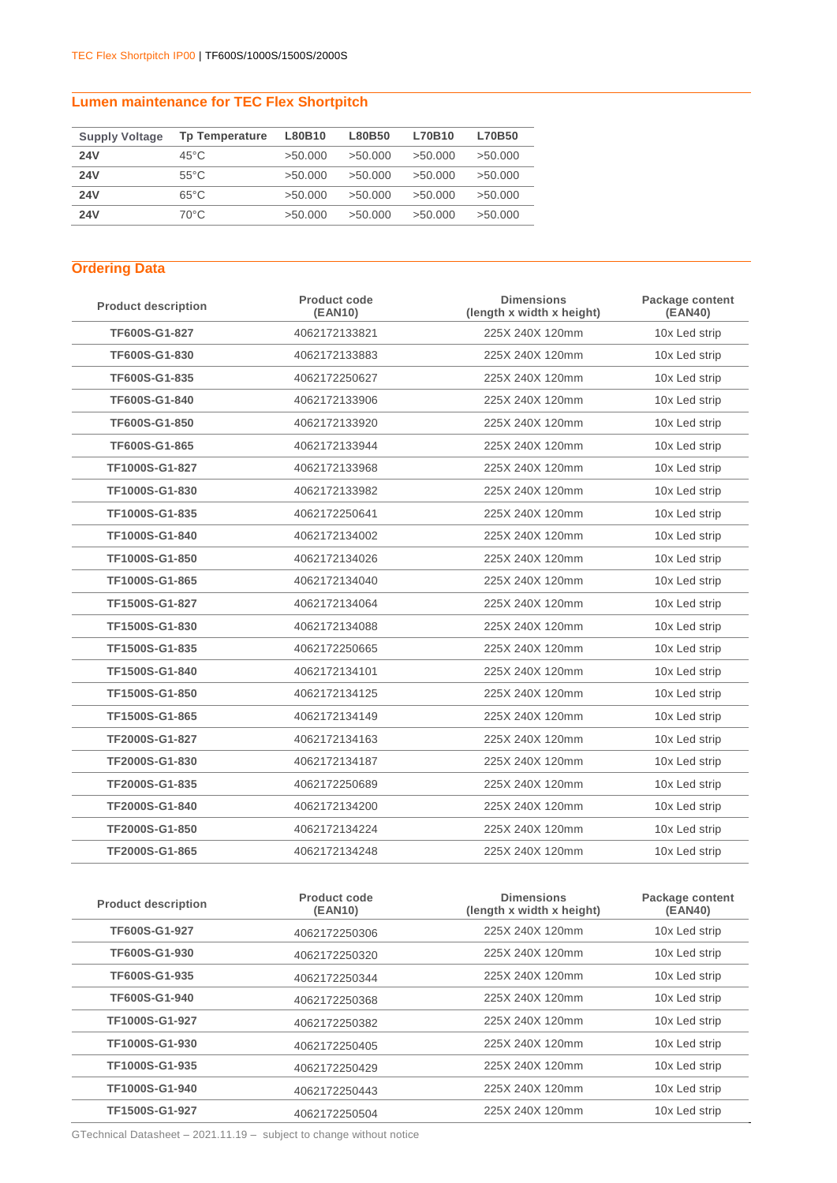# **Lumen maintenance for TEC Flex Shortpitch**

| <b>Supply Voltage</b> | <b>Tp Temperature</b> | L80B10  | L80B50  | L70B10  | <b>L70B50</b> |
|-----------------------|-----------------------|---------|---------|---------|---------------|
| <b>24V</b>            | $45^{\circ}$ C        | >50.000 | >50.000 | >50.000 | >50.000       |
| <b>24V</b>            | $55^{\circ}$ C        | >50.000 | >50.000 | >50.000 | >50.000       |
| <b>24V</b>            | $65^{\circ}$ C        | >50.000 | >50.000 | >50.000 | >50.000       |
| <b>24V</b>            | 70°C                  | >50.000 | >50.000 | >50.000 | >50.000       |

# **Ordering Data**

| <b>Product description</b> | <b>Product code</b><br>(EAN10) | <b>Dimensions</b><br>(length x width x height) | Package content<br>(EAN40) |
|----------------------------|--------------------------------|------------------------------------------------|----------------------------|
| TF600S-G1-827              | 4062172133821                  | 225X 240X 120mm                                | 10x Led strip              |
| TF600S-G1-830              | 4062172133883                  | 225X 240X 120mm                                | 10x Led strip              |
| TF600S-G1-835              | 4062172250627                  | 225X 240X 120mm                                | 10x Led strip              |
| TF600S-G1-840              | 4062172133906                  | 225X 240X 120mm                                | 10x Led strip              |
| TF600S-G1-850              | 4062172133920                  | 225X 240X 120mm                                | 10x Led strip              |
| TF600S-G1-865              | 4062172133944                  | 225X 240X 120mm                                | 10x Led strip              |
| TF1000S-G1-827             | 4062172133968                  | 225X 240X 120mm                                | 10x Led strip              |
| TF1000S-G1-830             | 4062172133982                  | 225X 240X 120mm                                | 10x Led strip              |
| TF1000S-G1-835             | 4062172250641                  | 225X 240X 120mm                                | 10x Led strip              |
| TF1000S-G1-840             | 4062172134002                  | 225X 240X 120mm                                | 10x Led strip              |
| TF1000S-G1-850             | 4062172134026                  | 225X 240X 120mm                                | 10x Led strip              |
| TF1000S-G1-865             | 4062172134040                  | 225X 240X 120mm                                | 10x Led strip              |
| TF1500S-G1-827             | 4062172134064                  | 225X 240X 120mm                                | 10x Led strip              |
| TF1500S-G1-830             | 4062172134088                  | 225X 240X 120mm                                | 10x Led strip              |
| TF1500S-G1-835             | 4062172250665                  | 225X 240X 120mm                                | 10x Led strip              |
| TF1500S-G1-840             | 4062172134101                  | 225X 240X 120mm                                | 10x Led strip              |
| TF1500S-G1-850             | 4062172134125                  | 225X 240X 120mm                                | 10x Led strip              |
| TF1500S-G1-865             | 4062172134149                  | 225X 240X 120mm                                | 10x Led strip              |
| TF2000S-G1-827             | 4062172134163                  | 225X 240X 120mm                                | 10x Led strip              |
| TF2000S-G1-830             | 4062172134187                  | 225X 240X 120mm                                | 10x Led strip              |
| TF2000S-G1-835             | 4062172250689                  | 225X 240X 120mm                                | 10x Led strip              |
| TF2000S-G1-840             | 4062172134200                  | 225X 240X 120mm                                | 10x Led strip              |
| TF2000S-G1-850             | 4062172134224                  | 225X 240X 120mm                                | 10x Led strip              |
| TF2000S-G1-865             | 4062172134248                  | 225X 240X 120mm                                | 10x Led strip              |

| <b>Product description</b> | Product code<br>(EAN10) | <b>Dimensions</b><br>(length x width x height) | Package content<br>(EAN40) |
|----------------------------|-------------------------|------------------------------------------------|----------------------------|
| TF600S-G1-927              | 4062172250306           | 225X 240X 120mm                                | 10x Led strip              |
| TF600S-G1-930              | 4062172250320           | 225X 240X 120mm                                | 10x Led strip              |
| <b>TF600S-G1-935</b>       | 4062172250344           | 225X 240X 120mm                                | 10x Led strip              |
| TF600S-G1-940              | 4062172250368           | 225X 240X 120mm                                | 10x Led strip              |
| TF1000S-G1-927             | 4062172250382           | 225X 240X 120mm                                | 10x Led strip              |
| TF1000S-G1-930             | 4062172250405           | 225X 240X 120mm                                | 10x Led strip              |
| TF1000S-G1-935             | 4062172250429           | 225X 240X 120mm                                | 10x Led strip              |
| TF1000S-G1-940             | 4062172250443           | 225X 240X 120mm                                | 10x Led strip              |
| TF1500S-G1-927             | 4062172250504           | 225X 240X 120mm                                | 10x Led strip              |

GTechnical Datasheet – 2021.11.19 – subject to change without notice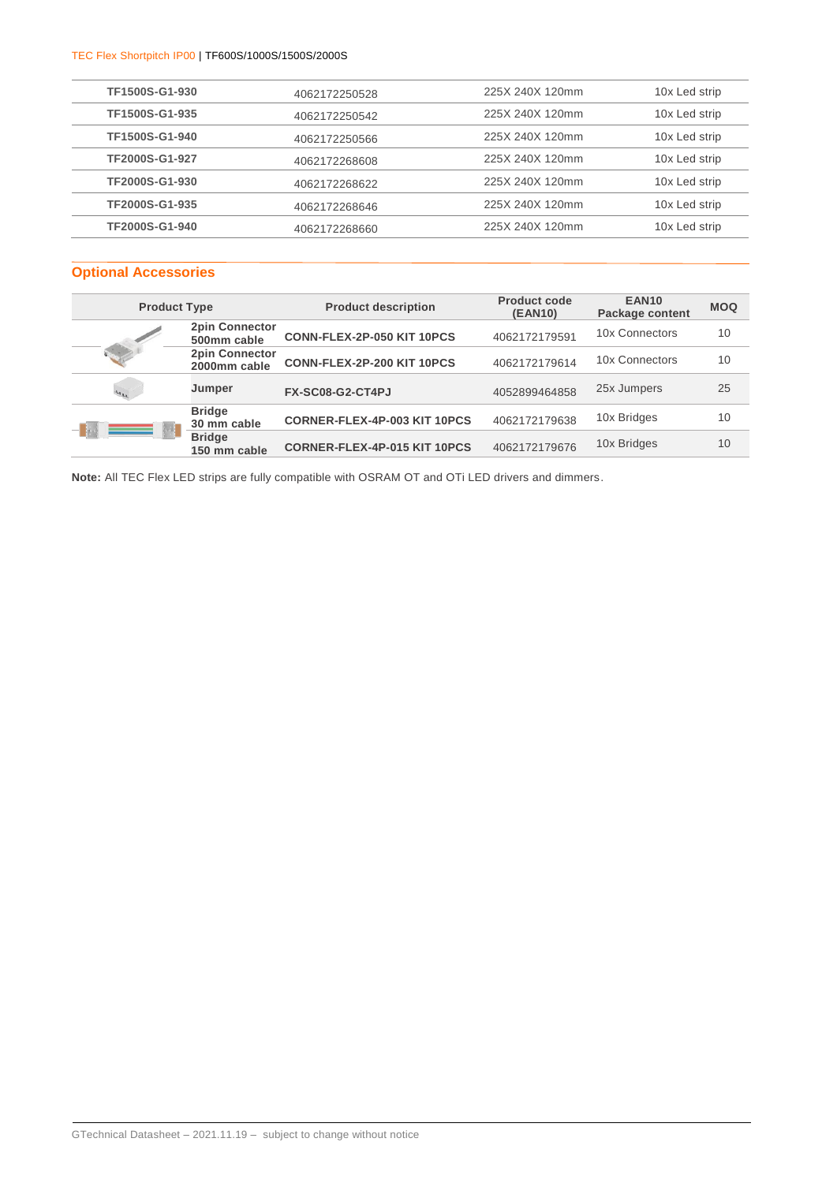| TF1500S-G1-930 | 4062172250528 | 225X 240X 120mm | 10x Led strip |
|----------------|---------------|-----------------|---------------|
| TF1500S-G1-935 | 4062172250542 | 225X 240X 120mm | 10x Led strip |
| TF1500S-G1-940 | 4062172250566 | 225X 240X 120mm | 10x Led strip |
| TF2000S-G1-927 | 4062172268608 | 225X 240X 120mm | 10x Led strip |
| TF2000S-G1-930 | 4062172268622 | 225X 240X 120mm | 10x Led strip |
| TF2000S-G1-935 | 4062172268646 | 225X 240X 120mm | 10x Led strip |
| TF2000S-G1-940 | 4062172268660 | 225X 240X 120mm | 10x Led strip |
|                |               |                 |               |

# **Optional Accessories**

| <b>Product Type</b> |                                       | <b>Product description</b>   | <b>Product code</b><br>(EAN10) | <b>EAN10</b><br><b>Package content</b> | <b>MOQ</b> |
|---------------------|---------------------------------------|------------------------------|--------------------------------|----------------------------------------|------------|
|                     | <b>2pin Connector</b><br>500mm cable  | CONN-FLEX-2P-050 KIT 10PCS   | 4062172179591                  | 10x Connectors                         | 10         |
|                     | <b>2pin Connector</b><br>2000mm cable | CONN-FLEX-2P-200 KIT 10PCS   | 4062172179614                  | 10x Connectors                         | 10         |
| $41_{14}$           | Jumper                                | FX-SC08-G2-CT4PJ             | 4052899464858                  | 25x Jumpers                            | 25         |
|                     | <b>Bridge</b><br>30 mm cable          | CORNER-FLEX-4P-003 KIT 10PCS | 4062172179638                  | 10x Bridges                            | 10         |
| <u> Sina</u>        | <b>Bridge</b><br>150 mm cable         | CORNER-FLEX-4P-015 KIT 10PCS | 4062172179676                  | 10x Bridges                            | 10         |

**Note:** All TEC Flex LED strips are fully compatible with OSRAM OT and OTi LED drivers and dimmers.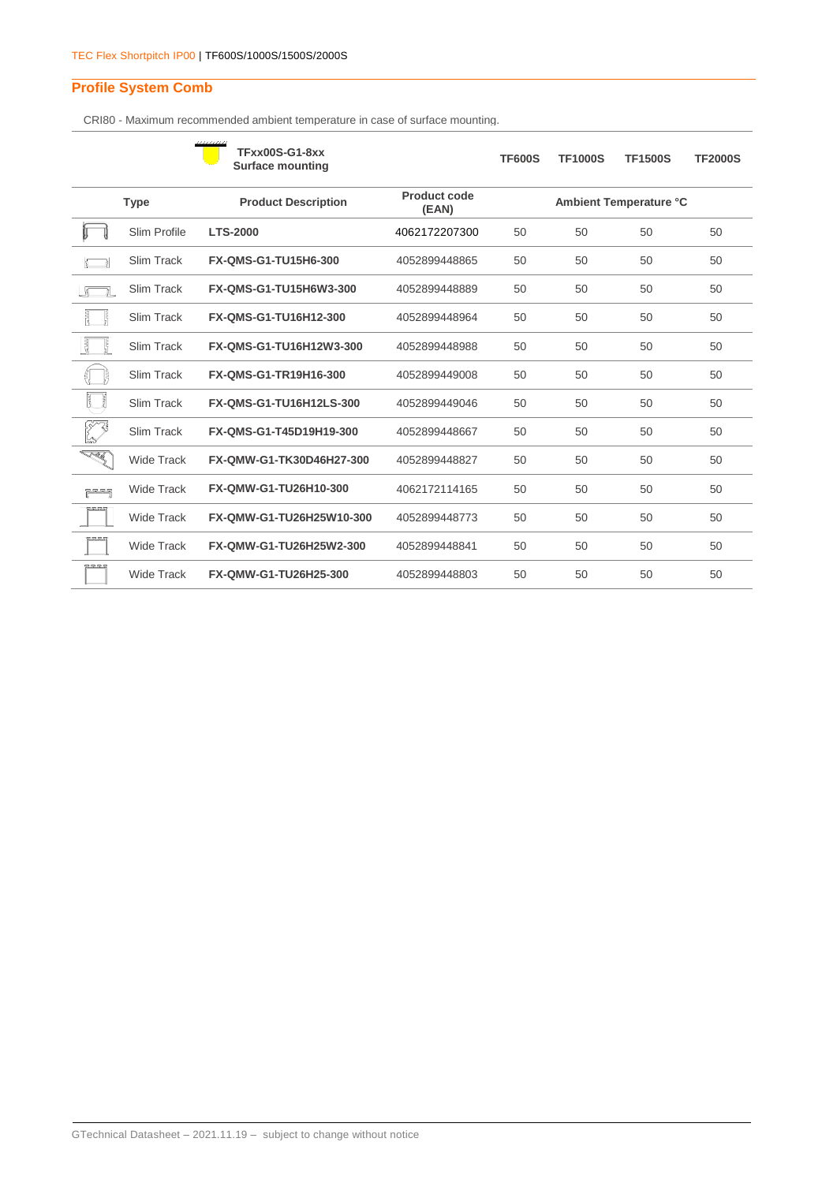# **Profile System Comb**

CRI80 - Maximum recommended ambient temperature in case of surface mounting.

|                               |                   | uana<br><b>TFxx00S-G1-8xx</b><br><b>Surface mounting</b> |                              | <b>TF600S</b> | <b>TF1000S</b> | <b>TF1500S</b>         | <b>TF2000S</b> |
|-------------------------------|-------------------|----------------------------------------------------------|------------------------------|---------------|----------------|------------------------|----------------|
|                               | <b>Type</b>       | <b>Product Description</b>                               | <b>Product code</b><br>(EAN) |               |                | Ambient Temperature °C |                |
|                               | Slim Profile      | <b>LTS-2000</b>                                          | 4062172207300                | 50            | 50             | 50                     | 50             |
|                               | Slim Track        | <b>FX-QMS-G1-TU15H6-300</b>                              | 4052899448865                | 50            | 50             | 50                     | 50             |
|                               | Slim Track        | FX-QMS-G1-TU15H6W3-300                                   | 4052899448889                | 50            | 50             | 50                     | 50             |
|                               | Slim Track        | FX-QMS-G1-TU16H12-300                                    | 4052899448964                | 50            | 50             | 50                     | 50             |
|                               | Slim Track        | FX-QMS-G1-TU16H12W3-300                                  | 4052899448988                | 50            | 50             | 50                     | 50             |
|                               | Slim Track        | FX-QMS-G1-TR19H16-300                                    | 4052899449008                | 50            | 50             | 50                     | 50             |
| ľ<br>ť                        | Slim Track        | FX-QMS-G1-TU16H12LS-300                                  | 4052899449046                | 50            | 50             | 50                     | 50             |
| t<br>Sant                     | Slim Track        | FX-QMS-G1-T45D19H19-300                                  | 4052899448667                | 50            | 50             | 50                     | 50             |
| <b>SARA</b>                   | <b>Wide Track</b> | FX-QMW-G1-TK30D46H27-300                                 | 4052899448827                | 50            | 50             | 50                     | 50             |
| ينے کے <sub>خا</sub> ر<br>مار | <b>Wide Track</b> | FX-QMW-G1-TU26H10-300                                    | 4062172114165                | 50            | 50             | 50                     | 50             |
| 252525                        | <b>Wide Track</b> | FX-QMW-G1-TU26H25W10-300                                 | 4052899448773                | 50            | 50             | 50                     | 50             |
| $-92.52.5$                    | <b>Wide Track</b> | FX-QMW-G1-TU26H25W2-300                                  | 4052899448841                | 50            | 50             | 50                     | 50             |
| <u>gensense</u>               | <b>Wide Track</b> | FX-QMW-G1-TU26H25-300                                    | 4052899448803                | 50            | 50             | 50                     | 50             |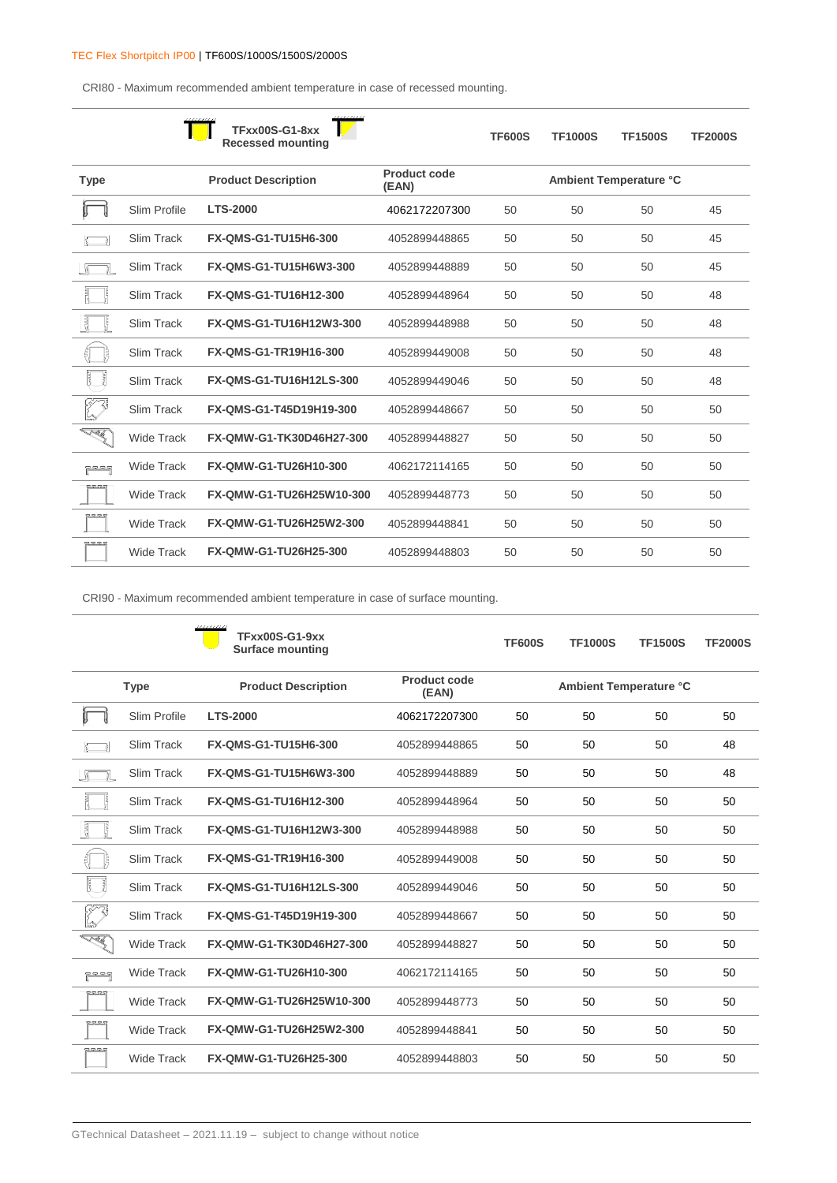CRI80 - Maximum recommended ambient temperature in case of recessed mounting.

|             |                   | <b>TFxx00S-G1-8xx</b><br><b>Recessed mounting</b> |                       | <b>TF600S</b> | <b>TF1000S</b> | <b>TF1500S</b>         | <b>TF2000S</b> |
|-------------|-------------------|---------------------------------------------------|-----------------------|---------------|----------------|------------------------|----------------|
| <b>Type</b> |                   | <b>Product Description</b>                        | Product code<br>(EAN) |               |                | Ambient Temperature °C |                |
|             | Slim Profile      | <b>LTS-2000</b>                                   | 4062172207300         | 50            | 50             | 50                     | 45             |
|             | <b>Slim Track</b> | <b>FX-QMS-G1-TU15H6-300</b>                       | 4052899448865         | 50            | 50             | 50                     | 45             |
|             | Slim Track        | FX-QMS-G1-TU15H6W3-300                            | 4052899448889         | 50            | 50             | 50                     | 45             |
|             | Slim Track        | FX-QMS-G1-TU16H12-300                             | 4052899448964         | 50            | 50             | 50                     | 48             |
| 長           | Slim Track        | FX-QMS-G1-TU16H12W3-300                           | 4052899448988         | 50            | 50             | 50                     | 48             |
|             | <b>Slim Track</b> | FX-QMS-G1-TR19H16-300                             | 4052899449008         | 50            | 50             | 50                     | 48             |
|             | Slim Track        | FX-QMS-G1-TU16H12LS-300                           | 4052899449046         | 50            | 50             | 50                     | 48             |
|             | Slim Track        | FX-QMS-G1-T45D19H19-300                           | 4052899448667         | 50            | 50             | 50                     | 50             |
| TÉ S        | <b>Wide Track</b> | FX-QMW-G1-TK30D46H27-300                          | 4052899448827         | 50            | 50             | 50                     | 50             |
| لاح ڪ ڪ ڪڏ  | <b>Wide Track</b> | FX-QMW-G1-TU26H10-300                             | 4062172114165         | 50            | 50             | 50                     | 50             |
| <b>RRRS</b> | <b>Wide Track</b> | FX-QMW-G1-TU26H25W10-300                          | 4052899448773         | 50            | 50             | 50                     | 50             |
|             | <b>Wide Track</b> | FX-QMW-G1-TU26H25W2-300                           | 4052899448841         | 50            | 50             | 50                     | 50             |
| 252529      | <b>Wide Track</b> | FX-QMW-G1-TU26H25-300                             | 4052899448803         | 50            | 50             | 50                     | 50             |

CRI90 - Maximum recommended ambient temperature in case of surface mounting.

|               |                   | <b>TFxx00S-G1-9xx</b><br><b>Surface mounting</b> |                              | <b>TF600S</b> | <b>TF1000S</b>         | <b>TF1500S</b> | <b>TF2000S</b> |  |  |
|---------------|-------------------|--------------------------------------------------|------------------------------|---------------|------------------------|----------------|----------------|--|--|
|               | <b>Type</b>       | <b>Product Description</b>                       | <b>Product code</b><br>(EAN) |               | Ambient Temperature °C |                |                |  |  |
|               | Slim Profile      | <b>LTS-2000</b>                                  | 4062172207300                | 50            | 50                     | 50             | 50             |  |  |
|               | <b>Slim Track</b> | FX-QMS-G1-TU15H6-300                             | 4052899448865                | 50            | 50                     | 50             | 48             |  |  |
|               | Slim Track        | FX-QMS-G1-TU15H6W3-300                           | 4052899448889                | 50            | 50                     | 50             | 48             |  |  |
|               | Slim Track        | FX-QMS-G1-TU16H12-300                            | 4052899448964                | 50            | 50                     | 50             | 50             |  |  |
| 틚             | Slim Track        | FX-QMS-G1-TU16H12W3-300                          | 4052899448988                | 50            | 50                     | 50             | 50             |  |  |
|               | <b>Slim Track</b> | FX-QMS-G1-TR19H16-300                            | 4052899449008                | 50            | 50                     | 50             | 50             |  |  |
| ľ<br>Ĭ        | Slim Track        | FX-QMS-G1-TU16H12LS-300                          | 4052899449046                | 50            | 50                     | 50             | 50             |  |  |
| K             | Slim Track        | FX-QMS-G1-T45D19H19-300                          | 4052899448667                | 50            | 50                     | 50             | 50             |  |  |
| <b>RA</b>     | <b>Wide Track</b> | FX-QMW-G1-TK30D46H27-300                         | 4052899448827                | 50            | 50                     | 50             | 50             |  |  |
| ي د د د       | <b>Wide Track</b> | FX-QMW-G1-TU26H10-300                            | 4062172114165                | 50            | 50                     | 50             | 50             |  |  |
| <b>RSESES</b> | <b>Wide Track</b> | FX-QMW-G1-TU26H25W10-300                         | 4052899448773                | 50            | 50                     | 50             | 50             |  |  |
|               | <b>Wide Track</b> | FX-QMW-G1-TU26H25W2-300                          | 4052899448841                | 50            | 50                     | 50             | 50             |  |  |
| 2 52 52 5     | <b>Wide Track</b> | FX-QMW-G1-TU26H25-300                            | 4052899448803                | 50            | 50                     | 50             | 50             |  |  |